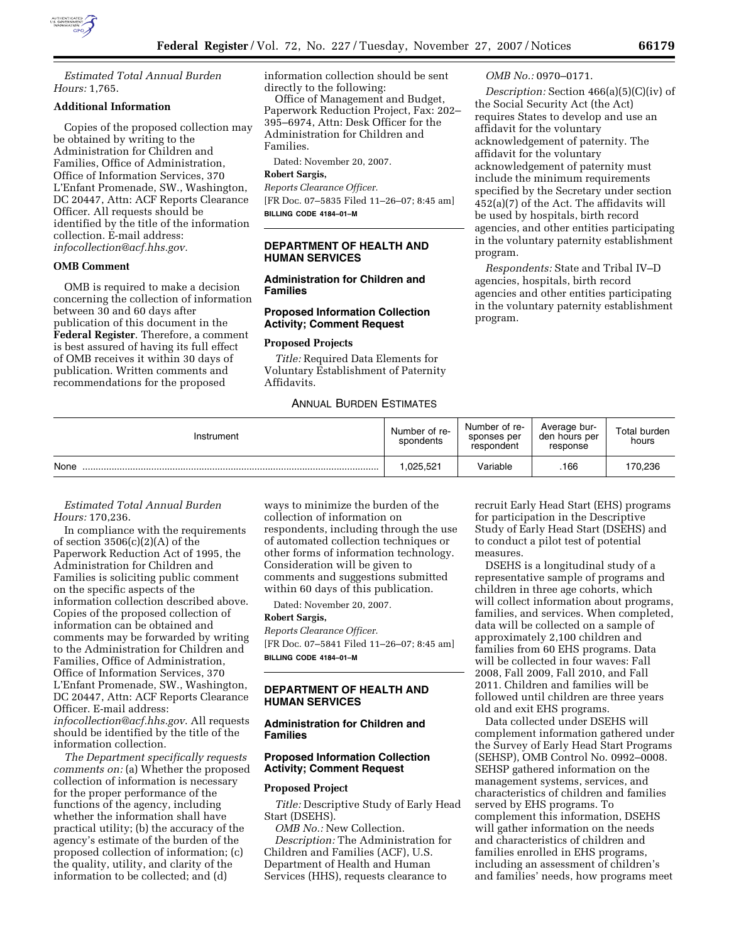

*Estimated Total Annual Burden Hours:* 1,765.

# **Additional Information**

Copies of the proposed collection may be obtained by writing to the Administration for Children and Families, Office of Administration, Office of Information Services, 370 L'Enfant Promenade, SW., Washington, DC 20447, Attn: ACF Reports Clearance Officer. All requests should be identified by the title of the information collection. E-mail address: *infocollection@acf.hhs.gov.* 

## **OMB Comment**

OMB is required to make a decision concerning the collection of information between 30 and 60 days after publication of this document in the **Federal Register**. Therefore, a comment is best assured of having its full effect of OMB receives it within 30 days of publication. Written comments and recommendations for the proposed

information collection should be sent directly to the following:

Office of Management and Budget, Paperwork Reduction Project, Fax: 202– 395–6974, Attn: Desk Officer for the Administration for Children and Families.

Dated: November 20, 2007.

# **Robert Sargis,**

*Reports Clearance Officer.*  [FR Doc. 07–5835 Filed 11–26–07; 8:45 am] **BILLING CODE 4184–01–M** 

**DEPARTMENT OF HEALTH AND HUMAN SERVICES** 

#### **Administration for Children and Families**

# **Proposed Information Collection Activity; Comment Request**

#### **Proposed Projects**

*Title:* Required Data Elements for Voluntary Establishment of Paternity Affidavits.

# ANNUAL BURDEN ESTIMATES

#### *OMB No.:* 0970–0171.

*Description:* Section 466(a)(5)(C)(iv) of the Social Security Act (the Act) requires States to develop and use an affidavit for the voluntary acknowledgement of paternity. The affidavit for the voluntary acknowledgement of paternity must include the minimum requirements specified by the Secretary under section 452(a)(7) of the Act. The affidavits will be used by hospitals, birth record agencies, and other entities participating in the voluntary paternity establishment program.

*Respondents:* State and Tribal IV–D agencies, hospitals, birth record agencies and other entities participating in the voluntary paternity establishment program.

| Instrument | Number of re-<br>spondents | Number of re-<br>sponses per<br>respondent | Average bur-<br>den hours per<br>response | Total burden<br>hours |
|------------|----------------------------|--------------------------------------------|-------------------------------------------|-----------------------|
| None       | .025.521                   | Variable                                   | .166                                      | 170,236               |

### *Estimated Total Annual Burden Hours:* 170,236.

In compliance with the requirements of section  $3506(c)(2)(A)$  of the Paperwork Reduction Act of 1995, the Administration for Children and Families is soliciting public comment on the specific aspects of the information collection described above. Copies of the proposed collection of information can be obtained and comments may be forwarded by writing to the Administration for Children and Families, Office of Administration, Office of Information Services, 370 L'Enfant Promenade, SW., Washington, DC 20447, Attn: ACF Reports Clearance Officer. E-mail address: *infocollection@acf.hhs.gov*. All requests should be identified by the title of the information collection.

*The Department specifically requests comments on:* (a) Whether the proposed collection of information is necessary for the proper performance of the functions of the agency, including whether the information shall have practical utility; (b) the accuracy of the agency's estimate of the burden of the proposed collection of information; (c) the quality, utility, and clarity of the information to be collected; and (d)

ways to minimize the burden of the collection of information on respondents, including through the use of automated collection techniques or other forms of information technology. Consideration will be given to comments and suggestions submitted within 60 days of this publication.

Dated: November 20, 2007.

#### **Robert Sargis,**

*Reports Clearance Officer.*  [FR Doc. 07–5841 Filed 11–26–07; 8:45 am] **BILLING CODE 4184–01–M** 

# **DEPARTMENT OF HEALTH AND HUMAN SERVICES**

### **Administration for Children and Families**

#### **Proposed Information Collection Activity; Comment Request**

#### **Proposed Project**

*Title:* Descriptive Study of Early Head Start (DSEHS).

*OMB No.:* New Collection. *Description:* The Administration for Children and Families (ACF), U.S. Department of Health and Human Services (HHS), requests clearance to

recruit Early Head Start (EHS) programs for participation in the Descriptive Study of Early Head Start (DSEHS) and to conduct a pilot test of potential measures.

DSEHS is a longitudinal study of a representative sample of programs and children in three age cohorts, which will collect information about programs, families, and services. When completed, data will be collected on a sample of approximately 2,100 children and families from 60 EHS programs. Data will be collected in four waves: Fall 2008, Fall 2009, Fall 2010, and Fall 2011. Children and families will be followed until children are three years old and exit EHS programs.

Data collected under DSEHS will complement information gathered under the Survey of Early Head Start Programs (SEHSP), OMB Control No. 0992–0008. SEHSP gathered information on the management systems, services, and characteristics of children and families served by EHS programs. To complement this information, DSEHS will gather information on the needs and characteristics of children and families enrolled in EHS programs, including an assessment of children's and families' needs, how programs meet